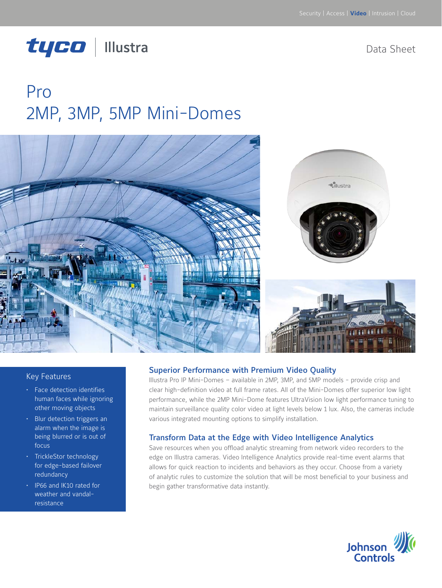# tyco | Illustra

Data Sheet

# Pro 2MP, 3MP, 5MP Mini-Domes







#### Key Features

- • Face detection identifies human faces while ignoring other moving objects
- • Blur detection triggers an alarm when the image is being blurred or is out of focus
- TrickleStor technology for edge-based failover redundancy
- IP66 and IK10 rated for weather and vandalresistance

#### Superior Performance with Premium Video Quality

Illustra Pro IP Mini-Domes – available in 2MP, 3MP, and 5MP models - provide crisp and clear high-definition video at full frame rates. All of the Mini-Domes offer superior low light performance, while the 2MP Mini-Dome features UltraVision low light performance tuning to maintain surveillance quality color video at light levels below 1 lux. Also, the cameras include various integrated mounting options to simplify installation.

#### Transform Data at the Edge with Video Intelligence Analytics

Save resources when you offload analytic streaming from network video recorders to the edge on Illustra cameras. Video Intelligence Analytics provide real-time event alarms that allows for quick reaction to incidents and behaviors as they occur. Choose from a variety of analytic rules to customize the solution that will be most beneficial to your business and begin gather transformative data instantly.

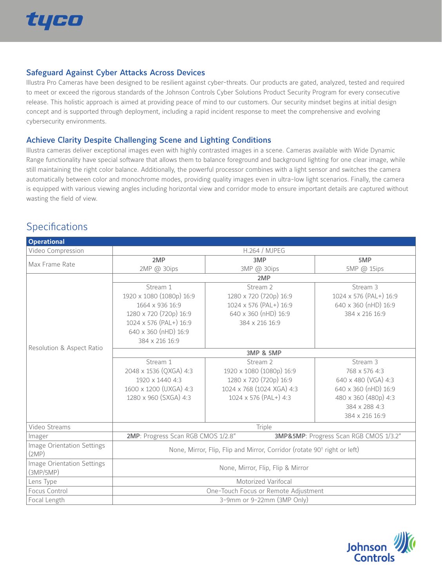

## Safeguard Against Cyber Attacks Across Devices

Illustra Pro Cameras have been designed to be resilient against cyber-threats. Our products are gated, analyzed, tested and required to meet or exceed the rigorous standards of the Johnson Controls Cyber Solutions Product Security Program for every consecutive release. This holistic approach is aimed at providing peace of mind to our customers. Our security mindset begins at initial design concept and is supported through deployment, including a rapid incident response to meet the comprehensive and evolving cybersecurity environments.

### Achieve Clarity Despite Challenging Scene and Lighting Conditions

Illustra cameras deliver exceptional images even with highly contrasted images in a scene. Cameras available with Wide Dynamic Range functionality have special software that allows them to balance foreground and background lighting for one clear image, while still maintaining the right color balance. Additionally, the powerful processor combines with a light sensor and switches the camera automatically between color and monochrome modes, providing quality images even in ultra-low light scenarios. Finally, the camera is equipped with various viewing angles including horizontal view and corridor mode to ensure important details are captured without wasting the field of view.

# Specifications

| <b>Operational</b>                         |                                                                              |                                      |                        |  |  |
|--------------------------------------------|------------------------------------------------------------------------------|--------------------------------------|------------------------|--|--|
| Video Compression                          | H.264 / MJPEG                                                                |                                      |                        |  |  |
| Max Frame Rate                             | 2MP                                                                          | 3MP                                  | 5MP                    |  |  |
|                                            | 2MP @ 30ips                                                                  | 3MP @ 30ips                          | 5MP @ 15ips            |  |  |
|                                            | 2MP                                                                          |                                      |                        |  |  |
|                                            | Stream 1                                                                     | Stream 2                             | Stream 3               |  |  |
|                                            | 1920 x 1080 (1080p) 16:9                                                     | 1280 x 720 (720p) 16:9               | 1024 x 576 (PAL+) 16:9 |  |  |
|                                            | 1664 x 936 16:9                                                              | 1024 x 576 (PAL+) 16:9               | 640 x 360 (nHD) 16:9   |  |  |
|                                            | 1280 x 720 (720p) 16:9                                                       | 640 x 360 (nHD) 16:9                 | 384 x 216 16:9         |  |  |
|                                            | 1024 x 576 (PAL+) 16:9                                                       | 384 x 216 16:9                       |                        |  |  |
|                                            | 640 x 360 (nHD) 16:9                                                         |                                      |                        |  |  |
|                                            | 384 x 216 16:9                                                               |                                      |                        |  |  |
| Resolution & Aspect Ratio                  | <b>3MP &amp; 5MP</b>                                                         |                                      |                        |  |  |
|                                            | Stream 1                                                                     | Stream 2                             | Stream 3               |  |  |
|                                            | 2048 x 1536 (QXGA) 4:3                                                       | 1920 x 1080 (1080p) 16:9             | 768 x 576 4:3          |  |  |
|                                            | 1920 x 1440 4:3                                                              | 1280 x 720 (720p) 16:9               | 640 x 480 (VGA) 4:3    |  |  |
|                                            | 1600 x 1200 (UXGA) 4:3                                                       | 1024 x 768 (1024 XGA) 4:3            | 640 x 360 (nHD) 16:9   |  |  |
|                                            | 1280 x 960 (SXGA) 4:3                                                        | 1024 x 576 (PAL+) 4:3                | 480 x 360 (480p) 4:3   |  |  |
|                                            |                                                                              |                                      | 384 x 288 4:3          |  |  |
|                                            |                                                                              |                                      | 384 x 216 16:9         |  |  |
| Video Streams                              | Triple                                                                       |                                      |                        |  |  |
| Imager                                     | 2MP: Progress Scan RGB CMOS 1/2.8"<br>3MP&5MP: Progress Scan RGB CMOS 1/3.2" |                                      |                        |  |  |
| <b>Image Orientation Settings</b><br>(2MP) | None, Mirror, Flip, Flip and Mirror, Corridor (rotate 90° right or left)     |                                      |                        |  |  |
| Image Orientation Settings<br>(3MP/5MP)    | None, Mirror, Flip, Flip & Mirror                                            |                                      |                        |  |  |
| Lens Type                                  | Motorized Varifocal                                                          |                                      |                        |  |  |
| Focus Control                              |                                                                              | One-Touch Focus or Remote Adjustment |                        |  |  |
| Focal Length                               | 3-9mm or 9-22mm (3MP Only)                                                   |                                      |                        |  |  |

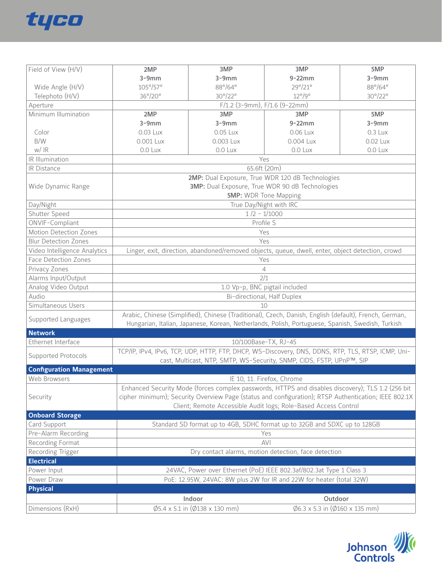

| Field of View (H/V)              | 2MP                                                                                                                                                                                                                                                                          | 3MP                                                                             | 3MP                                                  | 5MP                 |
|----------------------------------|------------------------------------------------------------------------------------------------------------------------------------------------------------------------------------------------------------------------------------------------------------------------------|---------------------------------------------------------------------------------|------------------------------------------------------|---------------------|
|                                  | $3-9mm$<br>105°/57°                                                                                                                                                                                                                                                          | $3-9mm$<br>88°/64°                                                              | $9-22mm$<br>29°/21°                                  | $3-9mm$<br>88°/64°  |
| Wide Angle (H/V)                 |                                                                                                                                                                                                                                                                              | 30°/22°                                                                         | $12^{\circ}/9^{\circ}$                               |                     |
| Telephoto (H/V)                  | 36°/20°<br>30°/22°                                                                                                                                                                                                                                                           |                                                                                 |                                                      |                     |
| Aperture                         | $F/1.2$ (3-9mm), $F/1.6$ (9-22mm)<br>3MP<br>5MP<br>2MP<br>3MP                                                                                                                                                                                                                |                                                                                 |                                                      |                     |
| Minimum Illumination             |                                                                                                                                                                                                                                                                              |                                                                                 |                                                      |                     |
|                                  | $3-9mm$                                                                                                                                                                                                                                                                      | $3-9mm$                                                                         | $9-22mm$                                             | $3-9mm$             |
| Color<br>B/W                     | 0.03 Lux                                                                                                                                                                                                                                                                     | 0.05 Lux                                                                        | 0.06 Lux<br>0.004 Lux                                | 0.3 Lux<br>0.02 Lux |
| w/IR                             | 0.001 Lux                                                                                                                                                                                                                                                                    | 0.003 Lux                                                                       | 0.0 Lux                                              | 0.0 Lux             |
| IR Illumination                  | 0.0 Lux                                                                                                                                                                                                                                                                      | 0.0 Lux<br>Yes                                                                  |                                                      |                     |
| <b>IR Distance</b>               |                                                                                                                                                                                                                                                                              | 65.6ft (20m)                                                                    |                                                      |                     |
|                                  |                                                                                                                                                                                                                                                                              | 2MP: Dual Exposure, True WDR 120 dB Technologies                                |                                                      |                     |
|                                  |                                                                                                                                                                                                                                                                              |                                                                                 |                                                      |                     |
| Wide Dynamic Range               |                                                                                                                                                                                                                                                                              | 3MP: Dual Exposure, True WDR 90 dB Technologies<br><b>5MP:</b> WDR Tone Mapping |                                                      |                     |
|                                  |                                                                                                                                                                                                                                                                              | True Day/Night with IRC                                                         |                                                      |                     |
| Day/Night                        |                                                                                                                                                                                                                                                                              | $1/2 - 1/1000$                                                                  |                                                      |                     |
| Shutter Speed<br>ONVIF-Compliant |                                                                                                                                                                                                                                                                              | Profile S                                                                       |                                                      |                     |
|                                  |                                                                                                                                                                                                                                                                              |                                                                                 |                                                      |                     |
| Motion Detection Zones           |                                                                                                                                                                                                                                                                              | Yes                                                                             |                                                      |                     |
| <b>Blur Detection Zones</b>      | Yes                                                                                                                                                                                                                                                                          |                                                                                 |                                                      |                     |
| Video Intelligence Analytics     | Linger, exit, direction, abandoned/removed objects, queue, dwell, enter, object detection, crowd                                                                                                                                                                             |                                                                                 |                                                      |                     |
| <b>Face Detection Zones</b>      | Yes                                                                                                                                                                                                                                                                          |                                                                                 |                                                      |                     |
| Privacy Zones                    | $\overline{4}$                                                                                                                                                                                                                                                               |                                                                                 |                                                      |                     |
| Alarms Input/Output              | 2/1                                                                                                                                                                                                                                                                          |                                                                                 |                                                      |                     |
| Analog Video Output              | 1.0 Vp-p, BNC pigtail included<br>Bi-directional, Half Duplex                                                                                                                                                                                                                |                                                                                 |                                                      |                     |
| Audio                            |                                                                                                                                                                                                                                                                              |                                                                                 |                                                      |                     |
| Simultaneous Users               |                                                                                                                                                                                                                                                                              | 10                                                                              |                                                      |                     |
| Supported Languages              | Arabic, Chinese (Simplified), Chinese (Traditional), Czech, Danish, English (default), French, German,<br>Hungarian, Italian, Japanese, Korean, Netherlands, Polish, Portuguese, Spanish, Swedish, Turkish                                                                   |                                                                                 |                                                      |                     |
| <b>Network</b>                   |                                                                                                                                                                                                                                                                              |                                                                                 |                                                      |                     |
| Ethernet Interface               |                                                                                                                                                                                                                                                                              | 10/100Base-TX, RJ-45                                                            |                                                      |                     |
| Supported Protocols              | TCP/IP, IPv4, IPv6, TCP, UDP, HTTP, FTP, DHCP, WS-Discovery, DNS, DDNS, RTP, TLS, RTSP, ICMP, Uni-<br>cast, Multicast, NTP, SMTP, WS-Security, SNMP, CIDS, FSTP, UPnP™, SIP                                                                                                  |                                                                                 |                                                      |                     |
| <b>Configuration Management</b>  |                                                                                                                                                                                                                                                                              |                                                                                 |                                                      |                     |
| Web Browsers                     |                                                                                                                                                                                                                                                                              |                                                                                 | IE 10, 11. Firefox, Chrome                           |                     |
| Security                         | Enhanced Security Mode (forces complex passwords, HTTPS and disables discovery); TLS 1.2 (256 bit<br>cipher minimum); Security Overview Page (status and configuration); RTSP Authentication; IEEE 802.1X<br>Client; Remote Accessible Audit logs; Role-Based Access Control |                                                                                 |                                                      |                     |
| <b>Onboard Storage</b>           |                                                                                                                                                                                                                                                                              |                                                                                 |                                                      |                     |
| Card Support                     |                                                                                                                                                                                                                                                                              | Standard SD format up to 4GB, SDHC format up to 32GB and SDXC up to 128GB       |                                                      |                     |
| Pre-Alarm Recording              | Yes                                                                                                                                                                                                                                                                          |                                                                                 |                                                      |                     |
| Recording Format                 | <b>AVI</b>                                                                                                                                                                                                                                                                   |                                                                                 |                                                      |                     |
| Recording Trigger                | Dry contact alarms, motion detection, face detection                                                                                                                                                                                                                         |                                                                                 |                                                      |                     |
| <b>Electrical</b>                |                                                                                                                                                                                                                                                                              |                                                                                 |                                                      |                     |
| Power Input                      |                                                                                                                                                                                                                                                                              | 24VAC, Power over Ethernet (PoE) IEEE 802.3af/802.3at Type 1 Class 3            |                                                      |                     |
| Power Draw                       |                                                                                                                                                                                                                                                                              | PoE: 12.95W, 24VAC: 8W plus 2W for IR and 22W for heater (total 32W)            |                                                      |                     |
| <b>Physical</b>                  |                                                                                                                                                                                                                                                                              |                                                                                 |                                                      |                     |
|                                  |                                                                                                                                                                                                                                                                              | Indoor                                                                          | Outdoor                                              |                     |
| Dimensions (RxH)                 |                                                                                                                                                                                                                                                                              | $\emptyset$ 5.4 x 5.1 in ( $\emptyset$ 138 x 130 mm)                            | $\emptyset$ 6.3 x 5.3 in ( $\emptyset$ 160 x 135 mm) |                     |
|                                  |                                                                                                                                                                                                                                                                              |                                                                                 |                                                      |                     |

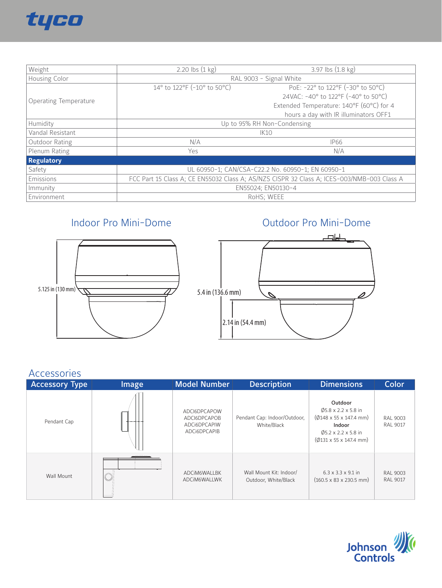

| Weight                       | 2.20 lbs $(1 \text{ kg})$                                                                  | $3.97$ lbs $(1.8 \text{ kg})$         |  |  |
|------------------------------|--------------------------------------------------------------------------------------------|---------------------------------------|--|--|
| Housing Color                | RAL 9003 - Signal White                                                                    |                                       |  |  |
|                              | 14° to 122°F (-10° to 50°C)                                                                | PoE: -22° to 122°F (-30° to 50°C)     |  |  |
|                              | 24VAC: -40° to 122°F (-40° to 50°C)                                                        |                                       |  |  |
| <b>Operating Temperature</b> | Extended Temperature: 140°F (60°C) for 4                                                   |                                       |  |  |
|                              |                                                                                            | hours a day with IR illuminators OFF1 |  |  |
| Humidity                     | Up to 95% RH Non-Condensing                                                                |                                       |  |  |
| Vandal Resistant             | <b>IK10</b>                                                                                |                                       |  |  |
| Outdoor Rating               | N/A<br><b>IP66</b>                                                                         |                                       |  |  |
| Plenum Rating                | Yes                                                                                        | N/A                                   |  |  |
| <b>Regulatory</b>            |                                                                                            |                                       |  |  |
| Safety                       | UL 60950-1; CAN/CSA-C22.2 No. 60950-1; EN 60950-1                                          |                                       |  |  |
| Emissions                    | FCC Part 15 Class A; CE EN55032 Class A; AS/NZS CISPR 32 Class A; ICES-003/NMB-003 Class A |                                       |  |  |
| Immunity                     | EN55024; EN50130-4                                                                         |                                       |  |  |
| Environment                  | RoHS; WEEE                                                                                 |                                       |  |  |



# Indoor Pro Mini-Dome **Canadian Control Control Control Control Control Control Control Control Control Control Control Control Control Control Control Control Control Control Control Control Control Control Control Control**



| <b>Accessories</b>    |       |                                                              |                                                 |                                                                                                                                                                      |                                    |
|-----------------------|-------|--------------------------------------------------------------|-------------------------------------------------|----------------------------------------------------------------------------------------------------------------------------------------------------------------------|------------------------------------|
| <b>Accessory Type</b> | Image | <b>Model Number</b>                                          | <b>Description</b>                              | <b>Dimensions</b>                                                                                                                                                    | <b>Color</b>                       |
| Pendant Cap           |       | ADCI6DPCAPOW<br>ADCI6DPCAPOB<br>ADCi6DPCAPIW<br>ADCi6DPCAPIB | Pendant Cap: Indoor/Outdoor,<br>White/Black     | Outdoor<br>$\varphi$ 5.8 x 2.2 x 5.8 in<br>$(Ø148 \times 55 \times 147.4 \text{ mm})$<br>Indoor<br>$\varphi$ 5.2 x 2.2 x 5.8 in<br>$(\emptyset$ 131 x 55 x 147.4 mm) | <b>RAL 9003</b><br><b>RAL 9017</b> |
| Wall Mount            |       | <b>ADCIM6WALLBK</b><br>ADCIM6WALLWK                          | Wall Mount Kit: Indoor/<br>Outdoor, White/Black | $6.3 \times 3.3 \times 9.1$ in<br>$(160.5 \times 83 \times 230.5 \text{ mm})$                                                                                        | RAL 9003<br><b>RAL 9017</b>        |

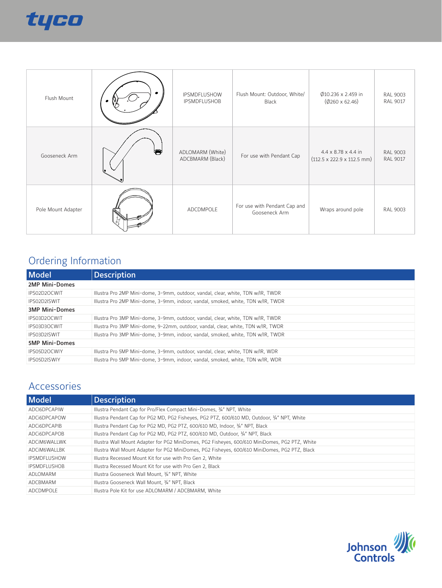

| Flush Mount        |           | <b>IPSMDFLUSHOW</b><br><b>IPSMDFLUSHOB</b> | Flush Mount: Outdoor, White/<br>Black         | Ø10.236 x 2.459 in<br>$(\phi$ 260 x 62.46)                                        | <b>RAL 9003</b><br><b>RAL 9017</b> |
|--------------------|-----------|--------------------------------------------|-----------------------------------------------|-----------------------------------------------------------------------------------|------------------------------------|
| Gooseneck Arm      | $\bullet$ | ADLOMARM (White)<br>ADCBMARM (Black)       | For use with Pendant Cap                      | $4.4 \times 8.78 \times 4.4$ in<br>$(112.5 \times 222.9 \times 112.5 \text{ mm})$ | <b>RAL 9003</b><br><b>RAL 9017</b> |
| Pole Mount Adapter |           | ADCDMPOLE                                  | For use with Pendant Cap and<br>Gooseneck Arm | Wraps around pole                                                                 | <b>RAL 9003</b>                    |

# Ordering Information

| <b>Model</b>          | <b>Description</b>                                                                |  |  |
|-----------------------|-----------------------------------------------------------------------------------|--|--|
| 2MP Mini-Domes        |                                                                                   |  |  |
| IPS02D2OCWIT          | Illustra Pro 2MP Mini-dome, 3-9mm, outdoor, vandal, clear, white, TDN w/IR, TWDR  |  |  |
| IPS02D2ISWIT          | Illustra Pro 2MP Mini-dome, 3-9mm, indoor, vandal, smoked, white, TDN w/IR, TWDR  |  |  |
| <b>3MP Mini-Domes</b> |                                                                                   |  |  |
| IPS03D2OCWIT          | Illustra Pro 3MP Mini-dome, 3-9mm, outdoor, vandal, clear, white, TDN w/IR, TWDR  |  |  |
| IPS03D3OCWIT          | Illustra Pro 3MP Mini-dome, 9-22mm, outdoor, vandal, clear, white, TDN w/IR, TWDR |  |  |
| IPS03D2ISWIT          | Illustra Pro 3MP Mini-dome, 3-9mm, indoor, vandal, smoked, white, TDN w/IR, TWDR  |  |  |
| <b>5MP Mini-Domes</b> |                                                                                   |  |  |
| IPS05D2OCWIY          | Illustra Pro 5MP Mini-dome, 3-9mm, outdoor, vandal, clear, white, TDN w/IR, WDR   |  |  |
| IPS05D2ISWIY          | Illustra Pro 5MP Mini-dome, 3-9mm, indoor, vandal, smoked, white, TDN w/IR, WDR   |  |  |

# Accessories

| <b>Model</b>        | <b>Description</b>                                                                             |
|---------------------|------------------------------------------------------------------------------------------------|
| <b>ADCI6DPCAPIW</b> | Illustra Pendant Cap for Pro/Flex Compact Mini-Domes, 3/4" NPT, White                          |
| ADCi6DPCAPOW        | Illustra Pendant Cap for PG2 MD, PG2 Fisheyes, PG2 PTZ, 600/610 MD, Outdoor, 3/4" NPT, White   |
| <b>ADCI6DPCAPIB</b> | Illustra Pendant Cap for PG2 MD, PG2 PTZ, 600/610 MD, Indoor, 3/4" NPT, Black                  |
| ADCI6DPCAPOB        | Illustra Pendant Cap for PG2 MD, PG2 PTZ, 600/610 MD, Outdoor, 3/4" NPT, Black                 |
| <b>ADCIM6WALLWK</b> | Illustra Wall Mount Adapter for PG2 MiniDomes, PG2 Fisheyes, 600/610 MiniDomes, PG2 PTZ, White |
| ADCIM6WALLBK        | Illustra Wall Mount Adapter for PG2 MiniDomes, PG2 Fisheyes, 600/610 MiniDomes, PG2 PTZ, Black |
| <b>IPSMDFLUSHOW</b> | Illustra Recessed Mount Kit for use with Pro Gen 2, White                                      |
| <b>IPSMDELUSHOB</b> | Illustra Recessed Mount Kit for use with Pro Gen 2, Black                                      |
| ADI OMARM           | Illustra Gooseneck Wall Mount, 3/4" NPT, White                                                 |
| ADCBMARM            | Illustra Gooseneck Wall Mount, 3/4" NPT, Black                                                 |
| ADCDMPOLE           | Illustra Pole Kit for use ADLOMARM / ADCBMARM, White                                           |